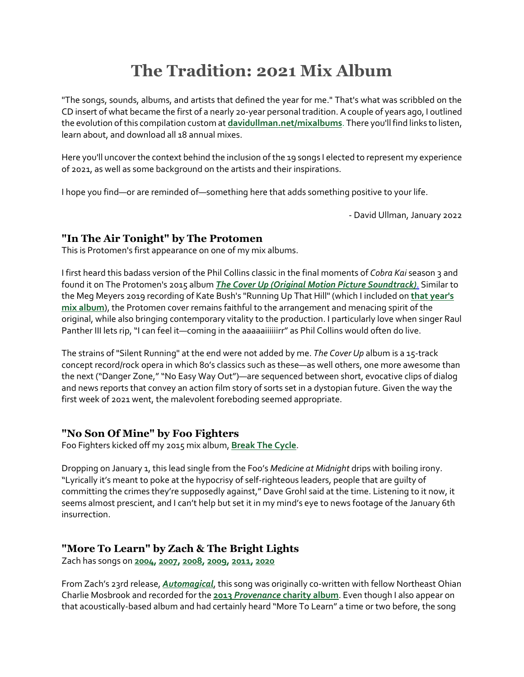# **The Tradition: 2021 Mix Album**

"The songs, sounds, albums, and artists that defined the year for me." That's what was scribbled on the CD insert of what became the first of a nearly 20-year personal tradition. A couple of years ago, I outlined the evolution of this compilation custom at **[davidullman.net/mixalbums](https://www.davidullman.net/mixalbums)**. There you'll find links to listen, learn about, and download all 18 annual mixes.

Here you'll uncover the context behind the inclusion of the 19 songs I elected to represent my experience of 2021, as well as some background on the artists and their inspirations.

I hope you find—or are reminded of—something here that adds something positive to your life.

- David Ullman, January 2022

# **"In The Air Tonight" by The Protomen**

This is Protomen's first appearance on one of my mix albums.

I first heard this badass version of the Phil Collins classic in the final moments of *Cobra Kai* season 3 and found it on The Protomen's 2015 album *The Cover Up (Original Motion Picture [Soundtrack\)](https://theprotomen.bandcamp.com/album/the-cover-up-original-motion-picture-soundtrack)*. Similar to the Meg Meyers 2019 recording of Kate Bush's "Running Up That Hill" (which I included on **that [year's](https://www.davidullman.net/2019mix) mix [album](https://www.davidullman.net/2019mix)**), the Protomen cover remains faithful to the arrangement and menacing spirit of the original, while also bringing contemporary vitality to the production. I particularly love when singer Raul Panther III lets rip, "I can feel it—coming in the aaaaaiiiiiirr" as Phil Collins would often do live.

The strains of "Silent Running" at the end were not added by me. *The Cover Up* album is a 15-track concept record/rock opera in which 80's classics such as these—as well others, one more awesome than the next ("Danger Zone,""No Easy Way Out")—are sequenced between short, evocative clips of dialog and news reports that convey an action film story of sorts set in a dystopian future. Given the way the first week of 2021 went, the malevolent foreboding seemed appropriate.

# **"No Son Of Mine" by Foo Fighters**

Foo Fighters kicked off my 2015 mix album, **[Break](https://www.davidullman.net/2015mix) The Cycle**.

Dropping on January 1, this lead single from the Foo's *Medicine at Midnight* drips with boiling irony. "Lyrically it's meant to poke at the hypocrisy of self-righteous leaders, people that are guilty of committing the crimes they're supposedly against," Dave Grohl said at the time. Listening to it now, it seems almost prescient, and I can't help but set it in my mind's eye to news footage of the January 6th insurrection.

# **"More To Learn" by Zach & The Bright Lights**

Zach has songs on **[2004,](https://www.davidullman.net/2004mix) [2007,](https://www.davidullman.net/2007mix) [2008,](https://www.davidullman.net/2008mix) [2009,](https://www.davidullman.net/2009mix) [2011,](https://www.davidullman.net/2011mix) [2020](https://www.davidullman.net/2020mix)**

From Zach's 23rd release, *[Automagical](https://zachmusic.net/album/1920531/automagical)*, this song was originally co-written with fellow Northeast Ohian Charlie Mosbrook and recorded for the **2013** *[Provenance](https://zachmusic.net/album/1523976/provenance)* **charity album**. Even though I also appear on that acoustically-based album and had certainly heard "More To Learn" a time or two before, the song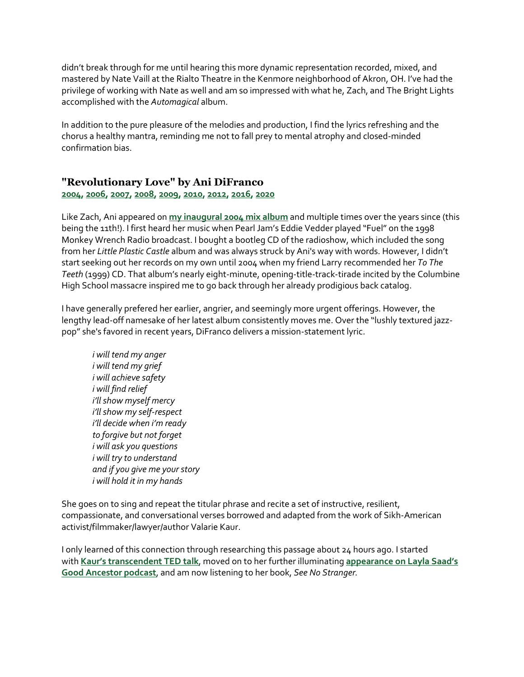didn't break through for me until hearing this more dynamic representation recorded, mixed, and mastered by Nate Vaill at the Rialto Theatre in the Kenmore neighborhood of Akron, OH. I've had the privilege of working with Nate as well and am so impressed with what he, Zach, and The Bright Lights accomplished with the *Automagical* album.

In addition to the pure pleasure of the melodies and production, I find the lyrics refreshing and the chorus a healthy mantra, reminding me not to fall prey to mental atrophy and closed-minded confirmation bias.

#### **"Revolutionary Love" by Ani DiFranco**

**[2004,](https://www.davidullman.net/2004mix) [2006,](https://www.davidullman.net/2006mix) [2007,](https://www.davidullman.net/2007mix) [2008,](https://www.davidullman.net/2008mix) [2009,](https://www.davidullman.net/2009mix) [2010,](https://www.davidullman.net/2010mix) [2012,](https://www.davidullman.net/2012mix) [2016,](https://www.davidullman.net/2016mix) [2020](https://www.davidullman.net/2020mix)**

Like Zach, Ani appeared on **my [inaugural](https://www.davidullman.net/2004mix) 2004 mix album** and multiple times over the years since (this being the 11th!). I first heard her music when Pearl Jam's Eddie Vedder played "Fuel" on the 1998 Monkey Wrench Radio broadcast. I bought a bootleg CD of the radioshow, which included the song from her *Little Plastic Castle* album and was always struck by Ani's way with words. However, I didn't start seeking out her records on my own until 2004 when my friend Larry recommended her *To The Teeth* (1999) CD. That album's nearly eight-minute, opening-title-track-tirade incited by the Columbine High School massacre inspired me to go back through her already prodigious back catalog.

I have generally prefered her earlier, angrier, and seemingly more urgent offerings. However, the lengthy lead-off namesake of her latest album consistently moves me. Over the "lushly textured jazzpop" she's favored in recent years, DiFranco delivers a mission-statement lyric.

*i will tend my anger i will tend my grief i will achieve safety i will find relief i'llshow myself mercy i'llshow my self-respect i'll decide when i'm ready to forgive but not forget i will ask you questions i will try to understand and if you give me yourstory i will hold it in my hands*

She goes on to sing and repeat the titular phrase and recite a set of instructive, resilient, compassionate, and conversational verses borrowed and adapted from the work of Sikh-American activist/filmmaker/lawyer/author Valarie Kaur.

I only learned of this connection through researching this passage about 24 hours ago. I started with **Kaur's [transcendent](https://youtu.be/5ErKrSyUpEo) TED talk**, moved on to her further illuminating **[appearance](http://laylafsaad.com/good-ancestor-podcast/ep059-valarie-kaur) on Layla Saad's Good [Ancestor](http://laylafsaad.com/good-ancestor-podcast/ep059-valarie-kaur) podcast**, and am now listening to her book, *See No Stranger.*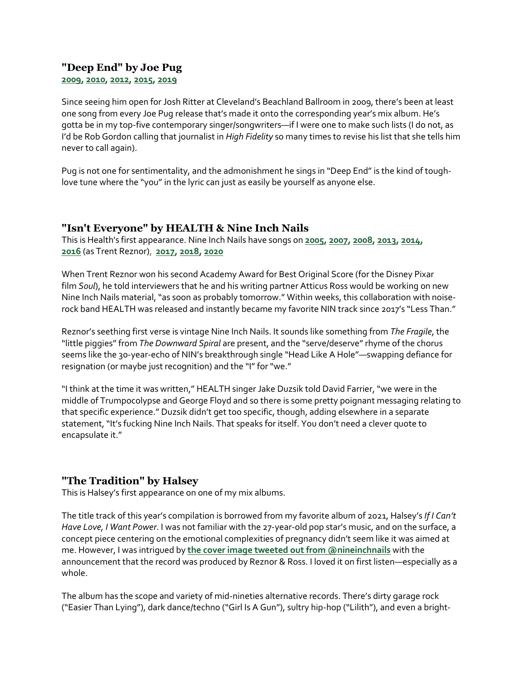# **"Deep End" by Joe Pug**

#### **[2009,](https://www.davidullman.net/2009mix) [2010,](https://www.davidullman.net/2010mix) [2012,](https://www.davidullman.net/2012mix) [2015,](https://www.davidullman.net/2015mix) [2019](https://www.davidullman.net/2019mix)**

Since seeing him open for Josh Ritter at Cleveland's Beachland Ballroom in 2009, there's been at least one song from every Joe Pug release that's made it onto the corresponding year's mix album. He's gotta be in my top-five contemporary singer/songwriters—if I were one to make such lists (I do not, as I'd be Rob Gordon calling that journalist in *High Fidelity* so many times to revise his list that she tells him never to call again).

Pug is not one for sentimentality, and the admonishment he sings in "Deep End" is the kind of toughlove tune where the "you" in the lyric can just as easily be yourself as anyone else.

#### **"Isn't Everyone" by HEALTH & Nine Inch Nails**

This is Health's first appearance. Nine Inch Nails have songs on **[2005,](https://www.davidullman.net/2005mix) [2007,](https://www.davidullman.net/2007mix) [2008,](https://www.davidullman.net/2008mix) [2013,](https://www.davidullman.net/2013mix) [2014,](https://www.davidullman.net/2014mix) [2016](https://www.davidullman.net/2016mix)** (as Trent Reznor), **[2017,](https://www.davidullman.net/2017mix) [2018,](https://www.davidullman.net/2018mix) [2020](https://www.davidullman.net/2020mix)**

When Trent Reznor won his second Academy Award for Best Original Score (for the Disney Pixar film *Soul*), he told interviewers that he and his writing partner Atticus Ross would be working on new Nine Inch Nails material, "as soon as probably tomorrow." Within weeks, this collaboration with noiserock band HEALTH was released and instantly became my favorite NIN track since 2017's "Less Than."

Reznor's seething first verse is vintage Nine Inch Nails. It sounds like something from *The Fragile*, the "little piggies" from *The Downward Spiral* are present, and the "serve/deserve" rhyme of the chorus seems like the 30-year-echo of NIN's breakthrough single "Head Like A Hole"—swapping defiance for resignation (or maybe just recognition) and the "I" for "we."

"I think at the time it was written," HEALTH singer Jake Duzsik told David Farrier,"we were in the middle of Trumpocolypse and George Floyd and so there is some pretty poignant messaging relating to that specific experience." Duzsik didn't get too specific, though, adding elsewhere in a separate statement,"It's fucking Nine Inch Nails. That speaks for itself. You don't need a clever quote to encapsulate it."

# **"The Tradition" by Halsey**

This is Halsey's first appearance on one of my mix albums.

The title track of this year's compilation is borrowed from my favorite album of 2021, Halsey's *If I Can't Have Love, I Want Power*. I was not familiar with the 27-year-old pop star's music, and on the surface, a concept piece centering on the emotional complexities of pregnancy didn't seem like it was aimed at me. However, I was intrigued by **the cover image tweeted out from [@nineinchnails](https://twitter.com/nineinchnails/status/1430641536853712899/photo/1)** with the announcement that the record was produced by Reznor & Ross. I loved it on first listen—especially as a whole.

The album has the scope and variety of mid-nineties alternative records. There's dirty garage rock ("Easier Than Lying"), dark dance/techno ("Girl Is A Gun"), sultry hip-hop ("Lilith"), and even a bright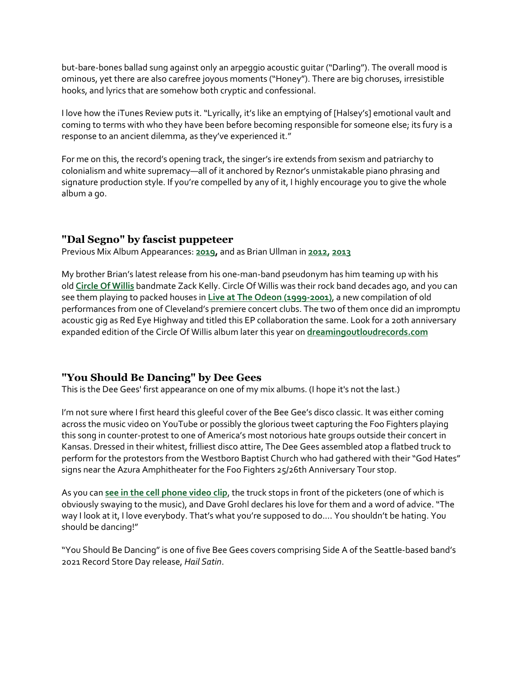but-bare-bones ballad sung against only an arpeggio acoustic guitar ("Darling"). The overall mood is ominous, yet there are also carefree joyous moments ("Honey"). There are big choruses, irresistible hooks, and lyrics that are somehow both cryptic and confessional.

I love how the iTunes Review puts it."Lyrically, it's like an emptying of [Halsey's] emotional vault and coming to terms with who they have been before becoming responsible for someone else; its fury is a response to an ancient dilemma, as they've experienced it."

For me on this, the record's opening track, the singer's ire extends from sexism and patriarchy to colonialism and white supremacy—all of it anchored by Reznor's unmistakable piano phrasing and signature production style. If you're compelled by any of it, I highly encourage you to give the whole album a go.

#### **"Dal Segno" by fascist puppeteer**

Previous Mix Album Appearances: **[2019,](https://www.davidullman.net/2019mix)** and as Brian Ullman in **[2012,](https://www.davidullman.net/2012mix) [2013](https://www.davidullman.net/2013mix)**

My brother Brian's latest release from his one-man-band pseudonym has him teaming up with his old **[Circle](https://dreamingoutloudrecords.com/album/circle-of-willis) Of Willis** bandmate Zack Kelly. Circle Of Willis was their rock band decades ago, and you can see them playing to packed houses in **Live at The Odeon [\(1999-2001\)](https://vimeo.com/649671396)**, a new compilation of old performances from one of Cleveland's premiere concert clubs. The two of them once did an impromptu acoustic gig as Red Eye Highway and titled this EP collaboration the same. Look for a 20th anniversary expanded edition of the Circle Of Willis album later this year on **[dreamingoutloudrecords.com](https://dreamingoutloudrecords.com/)**

# **"You Should Be Dancing" by Dee Gees**

This is the Dee Gees' first appearance on one of my mix albums. (I hope it's not the last.)

I'm not sure where I first heard this gleeful cover of the Bee Gee's disco classic. It was either coming across the music video on YouTube or possibly the glorious tweet capturing the Foo Fighters playing this song in counter-protest to one of America's most notorious hate groups outside their concert in Kansas. Dressed in their whitest, frilliest disco attire, The Dee Gees assembled atop a flatbed truck to perform for the protestors from the Westboro Baptist Church who had gathered with their "God Hates" signs near the Azura Amphitheater for the Foo Fighters 25/26th Anniversary Tour stop.

As you can **see in the cell [phone](https://twitter.com/Talkie86/status/1423491643169132549) video clip**, the truck stops in front of the picketers (one of which is obviously swaying to the music), and Dave Grohl declares his love for them and a word of advice."The way I look at it, I love everybody. That's what you're supposed to do.… You shouldn't be hating. You should be dancing!"

"You Should Be Dancing"is one of five Bee Gees covers comprising Side A of the Seattle-based band's 2021 Record Store Day release, *Hail Satin*.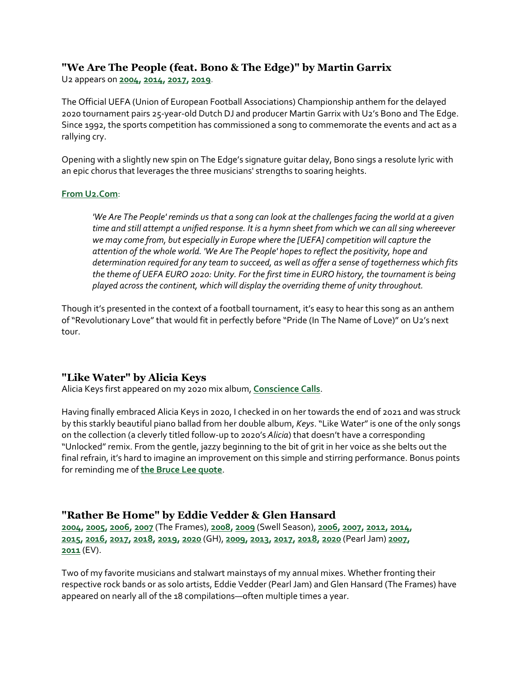# **"We Are The People (feat. Bono & The Edge)" by Martin Garrix**

U2 appears on **[2004,](https://www.davidullman.net/2004mix) [2014,](https://www.davidullman.net/2014mix) [2017,](https://www.davidullman.net/2017mix) [2019](https://www.davidullman.net/2019mix)**.

The Official UEFA (Union of European Football Associations) Championship anthem for the delayed 2020 tournament pairs 25-year-old Dutch DJ and producer Martin Garrix with U2's Bono and The Edge. Since 1992, the sports competition has commissioned a song to commemorate the events and act as a rallying cry.

Opening with a slightly new spin on The Edge's signature guitar delay, Bono sings a resolute lyric with an epic chorus that leverages the three musicians' strengths to soaring heights.

#### **From [U2.Com](https://www.u2.com/news/title/we-are-the-people/)**:

'We Are The People' reminds us that a song can look at the challenges facing the world at a given *time and still attempt a unified response. It is a hymn sheet from which we can allsing whereever we may come from, but especially in Europe where the [UEFA] competition will capture the attention of the whole world. 'We Are The People' hopesto reflect the positivity, hope and determination required for any team to succeed, as well as offer a sense of togetherness which fits the theme of UEFA EURO 2020: Unity. For the first time in EURO history, the tournament is being played across the continent, which will display the overriding theme of unity throughout.*

Though it's presented in the context of a football tournament, it's easy to hear this song as an anthem of "Revolutionary Love" that would fit in perfectly before "Pride (In The Name of Love)" on U2's next tour.

# **"Like Water" by Alicia Keys**

Alicia Keys first appeared on my 2020 mix album, **[Conscience](https://www.davidullman.net/2020mix) Calls**.

Having finally embraced Alicia Keys in 2020, I checked in on her towards the end of 2021 and was struck by this starkly beautiful piano ballad from her double album, *Keys*."Like Water"is one of the only songs on the collection (a cleverly titled follow-up to 2020's *Alicia*) that doesn't have a corresponding "Unlocked" remix. From the gentle, jazzy beginning to the bit of grit in her voice as she belts out the final refrain, it's hard to imagine an improvement on this simple and stirring performance. Bonus points for reminding me of **the Bruce Lee [quote](https://brucelee.com/podcast-blog/2016/7/20/2-be-water-my-friend)**.

# **"Rather Be Home" by Eddie Vedder & Glen Hansard**

**[2004,](https://www.davidullman.net/2004mix) [2005,](https://www.davidullman.net/2005mix) [2006,](https://www.davidullman.net/2006mix) [2007](https://www.davidullman.net/2007mix)** (The Frames), **[2008,](https://www.davidullman.net/2008mix) [2009](https://www.davidullman.net/2009mix)** (Swell Season), **[2006,](https://www.davidullman.net/2006mix) [2007,](https://www.davidullman.net/2007mix) [2012,](https://www.davidullman.net/2012mix) [2014,](https://www.davidullman.net/2014mix) [2015,](https://www.davidullman.net/2015mix) [2016,](https://www.davidullman.net/2016mix) [2017,](https://www.davidullman.net/2017mix) [2018,](https://www.davidullman.net/2018mix) [2019,](https://www.davidullman.net/2019mix) [2020](https://www.davidullman.net/2020mix)** (GH), **[2009,](https://www.davidullman.net/2009mix) [2013,](https://www.davidullman.net/2013mix) [2017,](https://www.davidullman.net/2017mix) [2018,](https://www.davidullman.net/2018mix) [2020](https://www.davidullman.net/2020mix)** (Pearl Jam) **[2007,](https://www.davidullman.net/2007mix) [2011](https://www.davidullman.net/2011mix)** (EV).

Two of my favorite musicians and stalwart mainstays of my annual mixes. Whether fronting their respective rock bands or as solo artists, Eddie Vedder (Pearl Jam) and Glen Hansard (The Frames) have appeared on nearly all of the 18 compilations—often multiple times a year.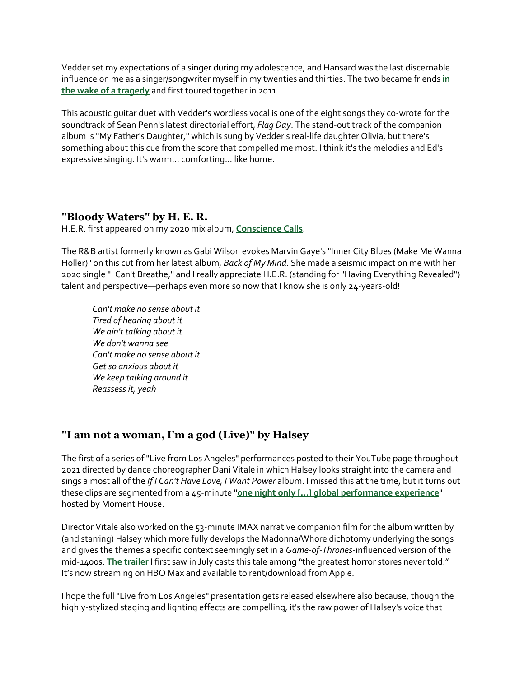Vedder set my expectations of a singer during my adolescence, and Hansard was the last discernable influence on me as a singer/songwriter myself in my twenties and thirties. The two became friends **[in](https://www.dailytelegraph.com.au/entertainment/arts/irish-singer-glen-hansard-reveals-why-he-will-always-say-yes-to-eddie-vedder/news-story/a8852fdc2cc470cbd89c8e667fb606ae) the wake of a [tragedy](https://www.dailytelegraph.com.au/entertainment/arts/irish-singer-glen-hansard-reveals-why-he-will-always-say-yes-to-eddie-vedder/news-story/a8852fdc2cc470cbd89c8e667fb606ae)** and first toured together in 2011.

This acoustic guitar duet with Vedder's wordless vocal is one of the eight songs they co-wrote for the soundtrack of Sean Penn's latest directorial effort, *Flag Day*. The stand-out track of the companion album is "My Father's Daughter," which is sung by Vedder's real-life daughter Olivia, but there's something about this cue from the score that compelled me most. I think it's the melodies and Ed's expressive singing. It's warm... comforting... like home.

# **"Bloody Waters" by H. E. R.**

H.E.R. first appeared on my 2020 mix album, **[Conscience](https://www.davidullman.net/2020mix) Calls**.

The R&B artist formerly known as Gabi Wilson evokes Marvin Gaye's "Inner City Blues (Make Me Wanna Holler)" on this cut from her latest album, *Back of My Mind*. She made a seismic impact on me with her 2020 single "I Can't Breathe," and I really appreciate H.E.R. (standing for "Having Everything Revealed") talent and perspective—perhaps even more so now that I know she is only 24-years-old!

*Can't make no sense about it Tired of hearing about it We ain't talking about it We don't wanna see Can't make no sense about it Getso anxious about it We keep talking around it Reassess it, yeah*

# **"I am not a woman, I'm a god (Live)" by Halsey**

The first of a series of "Live from Los Angeles" performances posted to their YouTube page throughout 2021 directed by dance choreographer Dani Vitale in which Halsey looks straight into the camera and sings almost all of the *If I Can't Have Love, I Want Power* album. I missed this at the time, but it turns out these clips are segmented from a 45-minute "**one night only […] global [performance](https://loversoflive.com/2021/09/01/halsey-if-i-cant-have-love-i-want-power/) experience**" hosted by Moment House.

Director Vitale also worked on the 53-minute IMAX narrative companion film for the album written by (and starring) Halsey which more fully develops the Madonna/Whore dichotomy underlying the songs and gives the themes a specific context seemingly set in a *Game-of-Thrones*-influenced version of the mid-1400s. **The [trailer](https://youtu.be/eM7luZ-00RI)** I first saw in July casts this tale among "the greatest horror stores never told." It's now streaming on HBO Max and available to rent/download from Apple.

I hope the full "Live from Los Angeles" presentation gets released elsewhere also because, though the highly-stylized staging and lighting effects are compelling, it's the raw power of Halsey's voice that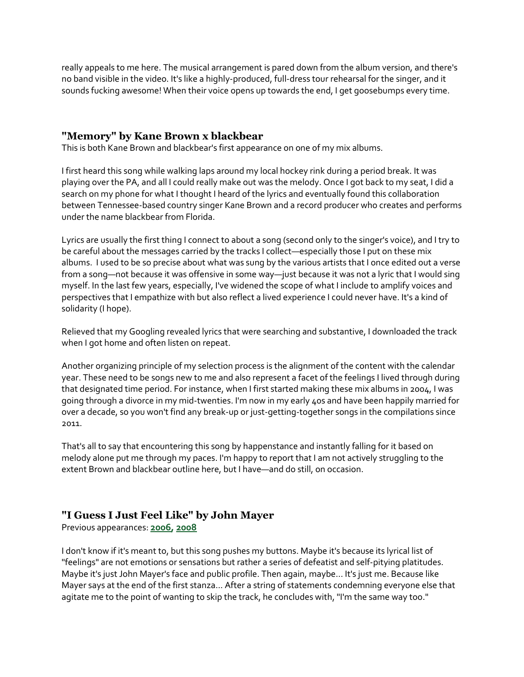really appeals to me here. The musical arrangement is pared down from the album version, and there's no band visible in the video. It's like a highly-produced, full-dress tour rehearsal for the singer, and it sounds fucking awesome! When their voice opens up towards the end, I get goosebumps every time.

# **"Memory" by Kane Brown x blackbear**

This is both Kane Brown and blackbear's first appearance on one of my mix albums.

I first heard this song while walking laps around my local hockey rink during a period break. It was playing over the PA, and all I could really make out was the melody. Once I got back to my seat, I did a search on my phone for what I thought I heard of the lyrics and eventually found this collaboration between Tennessee-based country singer Kane Brown and a record producer who creates and performs under the name blackbear from Florida.

Lyrics are usually the first thing I connect to about a song (second only to the singer's voice), and I try to be careful about the messages carried by the tracks I collect—especially those I put on these mix albums. I used to be so precise about what was sung by the various artists that I once edited out a verse from a song—not because it was offensive in some way—just because it was not a lyric that I would sing myself. In the last few years, especially, I've widened the scope of what I include to amplify voices and perspectives that I empathize with but also reflect a lived experience I could never have. It's a kind of solidarity (I hope).

Relieved that my Googling revealed lyrics that were searching and substantive, I downloaded the track when I got home and often listen on repeat.

Another organizing principle of my selection process is the alignment of the content with the calendar year. These need to be songs new to me and also represent a facet of the feelings I lived through during that designated time period. For instance, when I first started making these mix albums in 2004, I was going through a divorce in my mid-twenties. I'm now in my early 40s and have been happily married for over a decade, so you won't find any break-up or just-getting-together songs in the compilations since 2011.

That's all to say that encountering this song by happenstance and instantly falling for it based on melody alone put me through my paces. I'm happy to report that I am not actively struggling to the extent Brown and blackbear outline here, but I have—and do still, on occasion.

# **"I Guess I Just Feel Like" by John [Mayer](https://youtu.be/izyZLKIWGiA)**

Previous appearances: **[2006,](https://www.davidullman.net/2006mix) [2008](https://www.davidullman.net/2008mix)**

I don't know if it's meant to, but this song pushes my buttons. Maybe it's because its lyrical list of "feelings" are not emotions or sensations but rather a series of defeatist and self-pitying platitudes. Maybe it's just John Mayer's face and public profile. Then again, maybe... It's just me. Because like Mayer says at the end of the first stanza... After a string of statements condemning everyone else that agitate me to the point of wanting to skip the track, he concludes with, "I'm the same way too."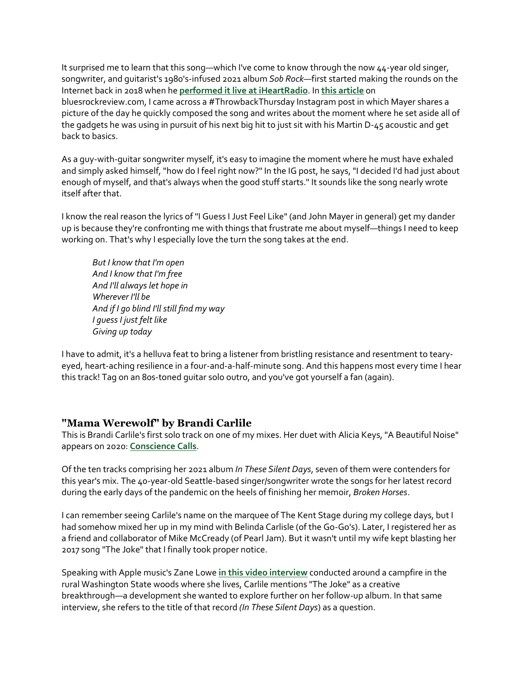It surprised me to learn that this song—which I've come to know through the now 44-year old singer, songwriter, and guitarist's 1980's-infused 2021 album *Sob Rock*—first started making the rounds on the Internet back in 2018 when he **performed it live at [iHeartRadio](https://youtu.be/KKgoF64zVRk)**. In **this [article](https://bluesrockreview.com/2019/08/behind-john-mayers-i-guess-i-just-feel-like.html)** on bluesrockreview.com, I came across a #ThrowbackThursday Instagram post in which Mayer shares a picture of the day he quickly composed the song and writes about the moment where he set aside all of the gadgets he was using in pursuit of his next big hit to just sit with his Martin D-45 acoustic and get back to basics.

As a guy-with-guitar songwriter myself, it's easy to imagine the moment where he must have exhaled and simply asked himself, "how do I feel right now?" In the IG post, he says, "I decided I'd had just about enough of myself, and that's always when the good stuff starts." It sounds like the song nearly wrote itself after that.

I know the real reason the lyrics of "I Guess I Just Feel Like" (and John Mayer in general) get my dander up is because they're confronting me with things that frustrate me about myself—things I need to keep working on. That's why I especially love the turn the song takes at the end.

*But I know that I'm open And I know that I'm free And I'll alwayslet hope in Wherever I'll be And if I go blind I'llstill find my way I guess I just felt like Giving up today*

I have to admit, it's a helluva feat to bring a listener from bristling resistance and resentment to tearyeyed, heart-aching resilience in a four-and-a-half-minute song. And this happens most every time I hear this track! Tag on an 80s-toned guitar solo outro, and you've got yourself a fan (again).

#### **"Mama Werewolf" by Brandi Carlile**

This is Brandi Carlile's first solo track on one of my mixes. Her duet with Alicia Keys, "A Beautiful Noise" appears on 2020: **[Conscience](https://www.davidullman.net/2020mix) Calls**.

Of the ten tracks comprising her 2021 album *In These Silent Days*, seven of them were contenders for this year's mix. The 40-year-old Seattle-based singer/songwriter wrote the songs for her latest record during the early days of the pandemic on the heels of finishing her memoir, *Broken Horses*.

I can remember seeing Carlile's name on the marquee of The Kent Stage during my college days, but I had somehow mixed her up in my mind with Belinda Carlisle (of the Go-Go's). Later, I registered her as a friend and collaborator of Mike McCready (of Pearl Jam). But it wasn't until my wife kept blasting her 2017 song "The Joke" that I finally took proper notice.

Speaking with Apple music's Zane Lowe **in this video [interview](https://youtu.be/xZbaHZpnvHM)** conducted around a campfire in the rural Washington State woods where she lives, Carlile mentions "The Joke" as a creative breakthrough—a development she wanted to explore further on her follow-up album. In that same interview, she refers to the title of that record *(In These Silent Days*) as a question.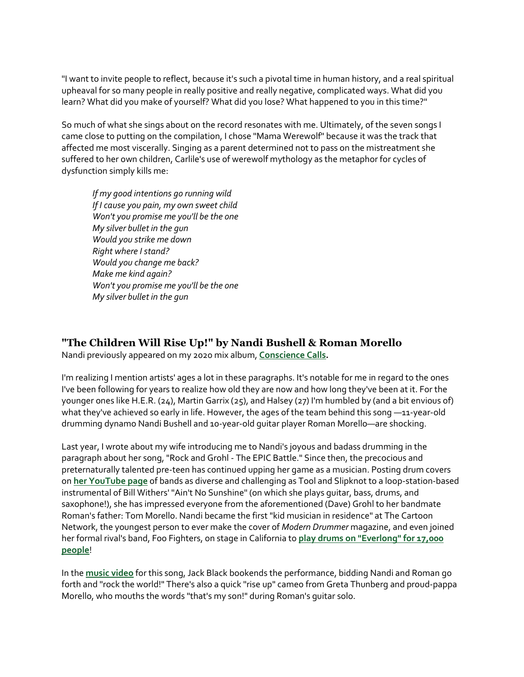"I want to invite people to reflect, because it's such a pivotal time in human history, and a real spiritual upheaval for so many people in really positive and really negative, complicated ways. What did you learn? What did you make of yourself? What did you lose? What happened to you in this time?"

So much of what she sings about on the record resonates with me. Ultimately, of the seven songs I came close to putting on the compilation, I chose "Mama Werewolf" because it was the track that affected me most viscerally. Singing as a parent determined not to pass on the mistreatment she suffered to her own children, Carlile's use of werewolf mythology as the metaphor for cycles of dysfunction simply kills me:

*If my good intentions go running wild If I cause you pain, my own sweet child Won't you promise me you'll be the one My silver bullet in the gun Would you strike me down Right where Istand? Would you change me back? Make me kind again? Won't you promise me you'll be the one My silver bullet in the gun*

# **"The Children Will Rise Up!" by Nandi Bushell & Roman Morello**

Nandi previously appeared on my 2020 mix album, **[Conscience](https://www.davidullman.net/2020mix) Calls.**

I'm realizing I mention artists' ages a lot in these paragraphs. It's notable for me in regard to the ones I've been following for years to realize how old they are now and how long they've been at it. For the younger ones like H.E.R. (24), Martin Garrix (25), and Halsey (27) I'm humbled by (and a bit envious of) what they've achieved so early in life. However, the ages of the team behind this song -11-year-old drumming dynamo Nandi Bushell and 10-year-old guitar player Roman Morello—are shocking.

Last year, I wrote about my wife introducing me to Nandi's joyous and badass drumming in the paragraph about her song, "Rock and Grohl - The EPIC Battle." Since then, the precocious and preternaturally talented pre-teen has continued upping her game as a musician. Posting drum covers on **her [YouTube](https://www.youtube.com/channel/UCbMg1QLaHBzmww35QK-mHEQ) page** of bands as diverse and challenging as Tool and Slipknot to a loop-station-based instrumental of Bill Withers' "Ain't No Sunshine" (on which she plays guitar, bass, drums, and saxophone!), she has impressed everyone from the aforementioned (Dave) Grohl to her bandmate Roman's father: Tom Morello. Nandi became the first "kid musician in residence" at The Cartoon Network, the youngest person to ever make the cover of *Modern Drummer* magazine, and even joined her formal rival's band, Foo Fighters, on stage in California to **play drums on ["Everlong"](https://www.cnn.com/2021/08/28/entertainment/nandi-bushell-foo-fighters-trnd/index.html) for 17,000 [people](https://www.cnn.com/2021/08/28/entertainment/nandi-bushell-foo-fighters-trnd/index.html)**!

In the **[music](https://youtu.be/J-2V65bWqhA) video** for this song, Jack Black bookends the performance, bidding Nandi and Roman go forth and "rock the world!" There's also a quick "rise up" cameo from Greta Thunberg and proud-pappa Morello, who mouths the words "that's my son!" during Roman's guitar solo.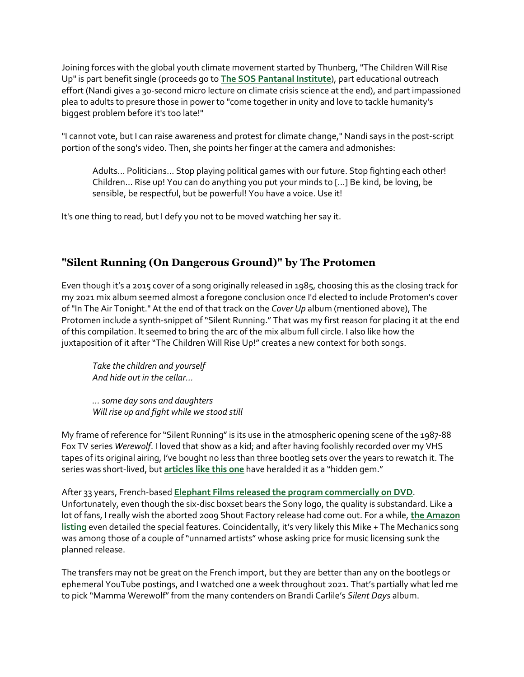Joining forces with the global youth climate movement started by Thunberg, "The Children Will Rise Up" is part benefit single (proceeds go to **The SOS [Pantanal](https://www.ajudapantanal.fund/en) Institute**), part educational outreach effort (Nandi gives a 30-second micro lecture on climate crisis science at the end), and part impassioned plea to adults to presure those in power to "come together in unity and love to tackle humanity's biggest problem before it's too late!"

"I cannot vote, but I can raise awareness and protest for climate change," Nandi says in the post-script portion of the song's video. Then, she points her finger at the camera and admonishes:

Adults… Politicians… Stop playing political games with our future. Stop fighting each other! Children… Rise up! You can do anything you put your minds to […] Be kind, be loving, be sensible, be respectful, but be powerful! You have a voice. Use it!

It's one thing to read, but I defy you not to be moved watching her say it.

# **"Silent Running (On Dangerous Ground)" by The Protomen**

Even though it's a 2015 cover of a song originally released in 1985, choosing this as the closing track for my 2021 mix album seemed almost a foregone conclusion once I'd elected to include Protomen's cover of "In The Air Tonight." At the end of that track on the *Cover Up* album (mentioned above), The Protomen include a synth-snippet of "Silent Running." That was my first reason for placing it at the end of this compilation. It seemed to bring the arc of the mix album full circle. I also like how the juxtaposition of it after "The Children Will Rise Up!" creates a new context for both songs.

*Take the children and yourself And hide out in the cellar…*

*… some day sons and daughters Will rise up and fight while we stood still*

My frame of reference for "Silent Running" is its use in the atmospheric opening scene of the 1987-88 Fox TV series *Werewolf*. I loved that show as a kid; and after having foolishly recorded over my VHS tapes of its original airing, I've bought no less than three bootleg sets over the years to rewatch it. The series was short-lived, but **[articles](https://bloody-disgusting.com/editorials/3648076/hidden-gem-1987s-horror-series-werewolf-claws-way-obscurity/) like this one** have heralded it as a "hidden gem."

After 33 years, French-based **Elephant Films released the program [commercially](http://www.elephantfilms.com/la-malediction-du-loup-garou-l-integrale-6-dvd-livret-52-pages-c2x34442862) on DVD**. Unfortunately, even though the six-disc boxset bears the Sony logo, the quality is substandard. Like a lot of fans, I really wish the aborted 2009 Shout Factory release had come out. For a while, **the [Amazon](https://www.amazon.com/WEREWOLF-COMPLETE-SERIES/dp/B002ACKBTQ) [listing](https://www.amazon.com/WEREWOLF-COMPLETE-SERIES/dp/B002ACKBTQ)** even detailed the special features. Coincidentally, it's very likely this Mike + The Mechanics song was among those of a couple of "unnamed artists" whose asking price for music licensing sunk the planned release.

The transfers may not be great on the French import, but they are better than any on the bootlegs or ephemeral YouTube postings, and I watched one a week throughout 2021. That's partially what led me to pick "Mamma Werewolf" from the many contenders on Brandi Carlile's *Silent Days* album.